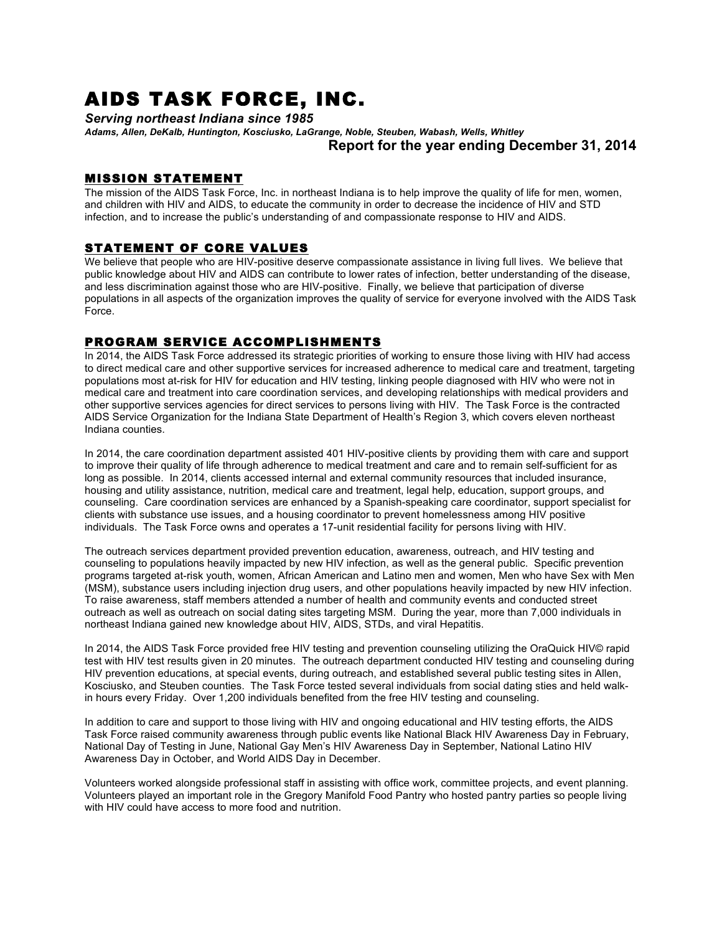# AIDS TASK FORCE, INC.

*Serving northeast Indiana since 1985*

*Adams, Allen, DeKalb, Huntington, Kosciusko, LaGrange, Noble, Steuben, Wabash, Wells, Whitley* **Report for the year ending December 31, 2014**

### MISSION STATEMENT

The mission of the AIDS Task Force, Inc. in northeast Indiana is to help improve the quality of life for men, women, and children with HIV and AIDS, to educate the community in order to decrease the incidence of HIV and STD infection, and to increase the public's understanding of and compassionate response to HIV and AIDS.

### STATEMENT OF CORE VALUES

We believe that people who are HIV-positive deserve compassionate assistance in living full lives. We believe that public knowledge about HIV and AIDS can contribute to lower rates of infection, better understanding of the disease, and less discrimination against those who are HIV-positive. Finally, we believe that participation of diverse populations in all aspects of the organization improves the quality of service for everyone involved with the AIDS Task Force.

# PROGRAM SERVICE ACCOMPLISHMENTS

In 2014, the AIDS Task Force addressed its strategic priorities of working to ensure those living with HIV had access to direct medical care and other supportive services for increased adherence to medical care and treatment, targeting populations most at-risk for HIV for education and HIV testing, linking people diagnosed with HIV who were not in medical care and treatment into care coordination services, and developing relationships with medical providers and other supportive services agencies for direct services to persons living with HIV. The Task Force is the contracted AIDS Service Organization for the Indiana State Department of Health's Region 3, which covers eleven northeast Indiana counties.

In 2014, the care coordination department assisted 401 HIV-positive clients by providing them with care and support to improve their quality of life through adherence to medical treatment and care and to remain self-sufficient for as long as possible. In 2014, clients accessed internal and external community resources that included insurance, housing and utility assistance, nutrition, medical care and treatment, legal help, education, support groups, and counseling. Care coordination services are enhanced by a Spanish-speaking care coordinator, support specialist for clients with substance use issues, and a housing coordinator to prevent homelessness among HIV positive individuals. The Task Force owns and operates a 17-unit residential facility for persons living with HIV.

The outreach services department provided prevention education, awareness, outreach, and HIV testing and counseling to populations heavily impacted by new HIV infection, as well as the general public. Specific prevention programs targeted at-risk youth, women, African American and Latino men and women, Men who have Sex with Men (MSM), substance users including injection drug users, and other populations heavily impacted by new HIV infection. To raise awareness, staff members attended a number of health and community events and conducted street outreach as well as outreach on social dating sites targeting MSM. During the year, more than 7,000 individuals in northeast Indiana gained new knowledge about HIV, AIDS, STDs, and viral Hepatitis.

In 2014, the AIDS Task Force provided free HIV testing and prevention counseling utilizing the OraQuick HIV© rapid test with HIV test results given in 20 minutes. The outreach department conducted HIV testing and counseling during HIV prevention educations, at special events, during outreach, and established several public testing sites in Allen, Kosciusko, and Steuben counties. The Task Force tested several individuals from social dating sties and held walkin hours every Friday. Over 1,200 individuals benefited from the free HIV testing and counseling.

In addition to care and support to those living with HIV and ongoing educational and HIV testing efforts, the AIDS Task Force raised community awareness through public events like National Black HIV Awareness Day in February, National Day of Testing in June, National Gay Men's HIV Awareness Day in September, National Latino HIV Awareness Day in October, and World AIDS Day in December.

Volunteers worked alongside professional staff in assisting with office work, committee projects, and event planning. Volunteers played an important role in the Gregory Manifold Food Pantry who hosted pantry parties so people living with HIV could have access to more food and nutrition.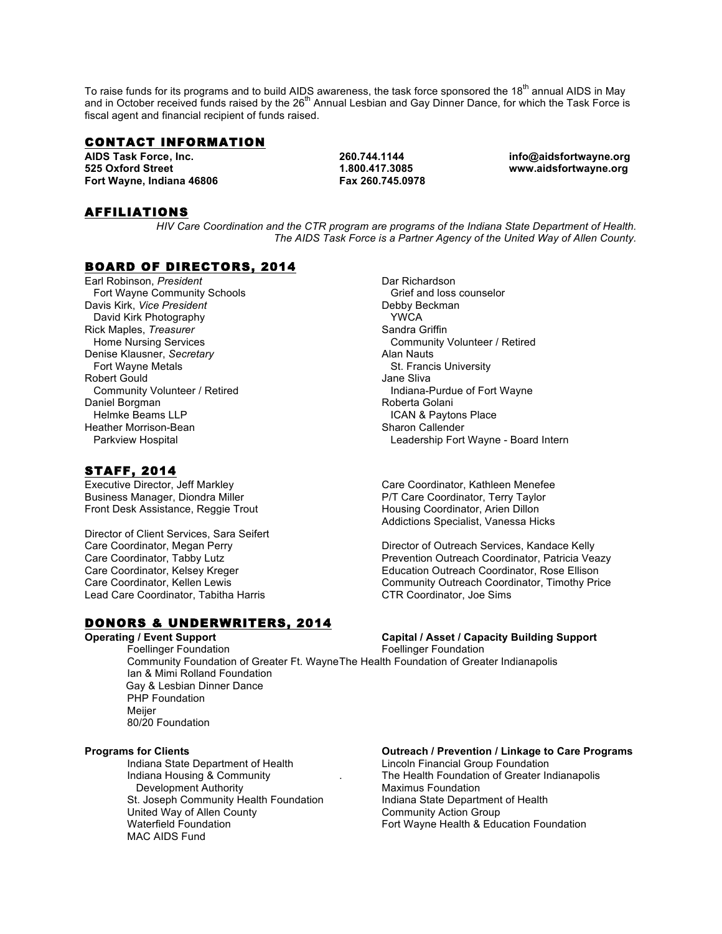To raise funds for its programs and to build AIDS awareness, the task force sponsored the 18<sup>th</sup> annual AIDS in May and in October received funds raised by the 26<sup>th</sup> Annual Lesbian and Gay Dinner Dance, for which the Task Force is fiscal agent and financial recipient of funds raised.

### CONTACT INFORMATION

**AIDS Task Force, Inc. 260.744.1144 info@aidsfortwayne.org 525 Oxford Street 1.800.417.3085 www.aidsfortwayne.org Fort Wayne, Indiana 46806 Fax 260.745.0978**

## AFFILIATIONS

*HIV Care Coordination and the CTR program are programs of the Indiana State Department of Health. The AIDS Task Force is a Partner Agency of the United Way of Allen County.*

### BOARD OF DIRECTORS, 2014

Earl Robinson, *President* Fort Wayne Community Schools Davis Kirk, *Vice President* David Kirk Photography Rick Maples, *Treasurer* Home Nursing Services Denise Klausner, *Secretary* Fort Wayne Metals Robert Gould Community Volunteer / Retired Daniel Borgman Helmke Beams LLP Heather Morrison-Bean Parkview Hospital

### STAFF, 2014

Executive Director, Jeff Markley Business Manager, Diondra Miller Front Desk Assistance, Reggie Trout

Director of Client Services, Sara Seifert Care Coordinator, Megan Perry Care Coordinator, Tabby Lutz Care Coordinator, Kelsey Kreger Care Coordinator, Kellen Lewis Lead Care Coordinator, Tabitha Harris

# DONORS & UNDERWRITERS, 2014

**Operating / Event Support**<br> **Capital / Asset / Capacity Building Support**<br>
Foellinger Foundation<br>
Foundation Communisty Communisty Communisty Communisty Communisty Communisty Communisty Communisty Communisty Comm Foellinger Foundation Foellinger Foundation Community Foundation of Greater Ft. WayneThe Health Foundation of Greater Indianapolis Ian & Mimi Rolland Foundation Gay & Lesbian Dinner Dance PHP Foundation **Meijer** 80/20 Foundation

Indiana State Department of Health Lincoln Financial Group Foundation Development Authority Maximus Foundation St. Joseph Community Health Foundation **Indiana State Department of Health** United Way of Allen County<br>
Waterfield Foundation<br>
Waterfield Foundation<br>
Version Community Action Group MAC AIDS Fund

Dar Richardson Grief and loss counselor Debby Beckman YWCA Sandra Griffin Community Volunteer / Retired Alan Nauts St. Francis University Jane Sliva Indiana-Purdue of Fort Wayne Roberta Golani ICAN & Paytons Place Sharon Callender Leadership Fort Wayne - Board Intern

Care Coordinator, Kathleen Menefee P/T Care Coordinator, Terry Taylor Housing Coordinator, Arien Dillon Addictions Specialist, Vanessa Hicks

Director of Outreach Services, Kandace Kelly Prevention Outreach Coordinator, Patricia Veazy Education Outreach Coordinator, Rose Ellison Community Outreach Coordinator, Timothy Price CTR Coordinator, Joe Sims

### **Programs for Clients Outreach / Prevention / Linkage to Care Programs**

Indiana Housing & Community . The Health Foundation of Greater Indianapolis Fort Wayne Health & Education Foundation